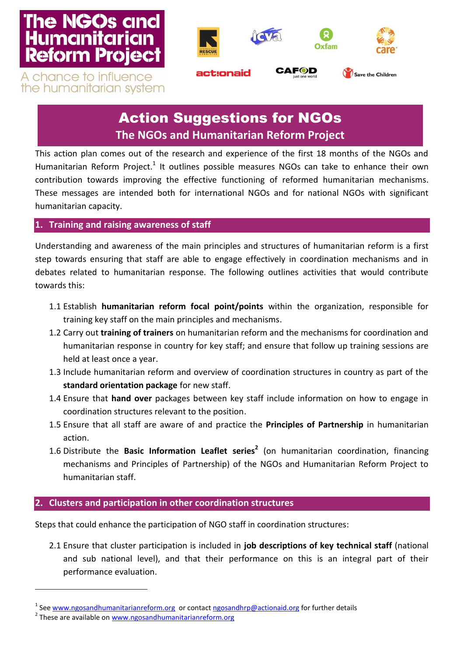# **The NGOs and Humanitarian Reform Project**



A chance to influence the humanitarian system

## Action Suggestions for NGOs **The NGOs and Humanitarian Reform Project**

This action plan comes out of the research and experience of the first 18 months of the NGOs and Humanitarian Reform Project.<sup>1</sup> It outlines possible measures NGOs can take to enhance their own contribution towards improving the effective functioning of reformed humanitarian mechanisms. These messages are intended both for international NGOs and for national NGOs with significant humanitarian capacity.

## **1. Training and raising awareness of staff**

Understanding and awareness of the main principles and structures of humanitarian reform is a first step towards ensuring that staff are able to engage effectively in coordination mechanisms and in debates related to humanitarian response. The following outlines activities that would contribute towards this:

- 1.1 Establish **humanitarian reform focal point/points** within the organization, responsible for training key staff on the main principles and mechanisms.
- 1.2 Carry out **training of trainers** on humanitarian reform and the mechanisms for coordination and humanitarian response in country for key staff; and ensure that follow up training sessions are held at least once a year.
- 1.3 Include humanitarian reform and overview of coordination structures in country as part of the **standard orientation package** for new staff.
- 1.4 Ensure that **hand over** packages between key staff include information on how to engage in coordination structures relevant to the position.
- 1.5 Ensure that all staff are aware of and practice the **Principles of Partnership** in humanitarian action.
- 1.6 Distribute the **Basic Information Leaflet series<sup>2</sup>** (on humanitarian coordination, financing mechanisms and Principles of Partnership) of the NGOs and Humanitarian Reform Project to humanitarian staff.

## **2. Clusters and participation in other coordination structures**

Steps that could enhance the participation of NGO staff in coordination structures:

2.1 Ensure that cluster participation is included in **job descriptions of key technical staff** (national and sub national level), and that their performance on this is an integral part of their performance evaluation.

 $\overline{\phantom{a}}$ 

<sup>&</sup>lt;sup>1</sup> Se[e www.ngosandhumanitarianreform.org](http://www.ngosandhumanitarianreform.org/) or contact [ngosandhrp@actionaid.org](mailto:ngosandhrp@actionaid.org) for further details

<sup>&</sup>lt;sup>2</sup> These are available o[n www.ngosandhumanitarianreform.org](http://www.ngosandhumanitarianreform.org/)